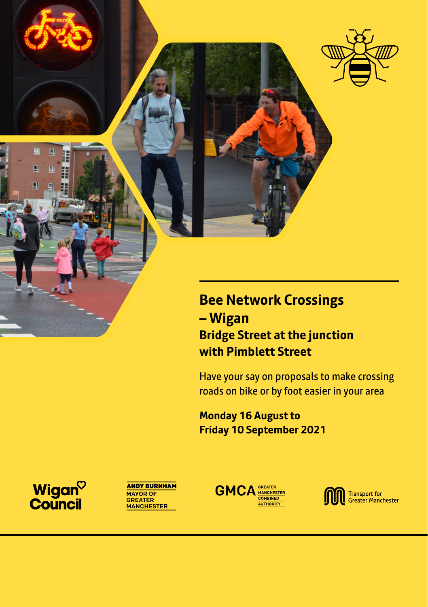

### **Bee Network Crossings – Wigan Bridge Street at the junction with Pimblett Street**

Have your say on proposals to make crossing roads on bike or by foot easier in your area

**Monday 16 August to Friday 10 September 2021**

Wigan<sup>o</sup><br>Council





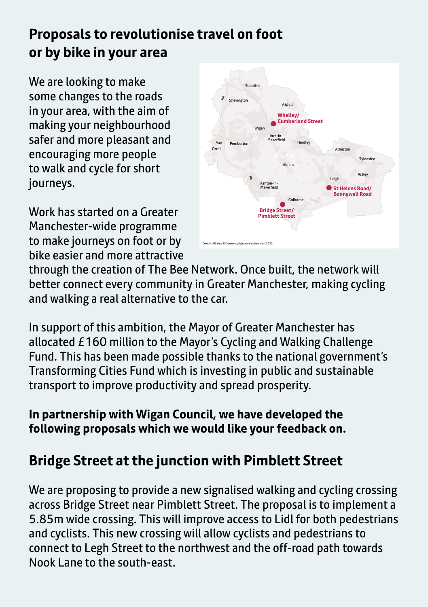# **Proposals to revolutionise travel on foot or by bike in your area**

We are looking to make some changes to the roads in your area, with the aim of making your neighbourhood safer and more pleasant and encouraging more people to walk and cycle for short journeys.

Work has started on a Greater Manchester-wide programme to make journeys on foot or by bike easier and more attractive



through the creation of The Bee Network. Once built, the network will better connect every community in Greater Manchester, making cycling and walking a real alternative to the car.

In support of this ambition, the Mayor of Greater Manchester has allocated £160 million to the Mayor's Cycling and Walking Challenge Fund. This has been made possible thanks to the national government's Transforming Cities Fund which is investing in public and sustainable transport to improve productivity and spread prosperity.

### **In partnership with Wigan Council, we have developed the following proposals which we would like your feedback on.**

# **Bridge Street at the junction with Pimblett Street**

We are proposing to provide a new signalised walking and cycling crossing across Bridge Street near Pimblett Street. The proposal is to implement a 5.85m wide crossing. This will improve access to Lidl for both pedestrians and cyclists. This new crossing will allow cyclists and pedestrians to connect to Legh Street to the northwest and the off-road path towards Nook Lane to the south-east.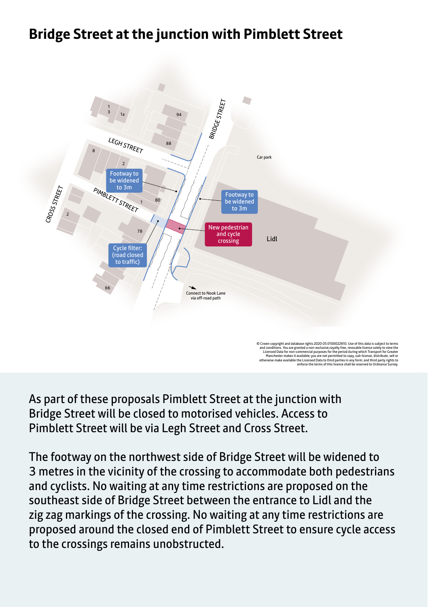## **Bridge Street at the junction with Pimblett Street**



As part of these proposals Pimblett Street at the junction with Bridge Street will be closed to motorised vehicles. Access to Pimblett Street will be via Legh Street and Cross Street.

The footway on the northwest side of Bridge Street will be widened to 3 metres in the vicinity of the crossing to accommodate both pedestrians and cyclists. No waiting at any time restrictions are proposed on the southeast side of Bridge Street between the entrance to Lidl and the zig zag markings of the crossing. No waiting at any time restrictions are proposed around the closed end of Pimblett Street to ensure cycle access to the crossings remains unobstructed.